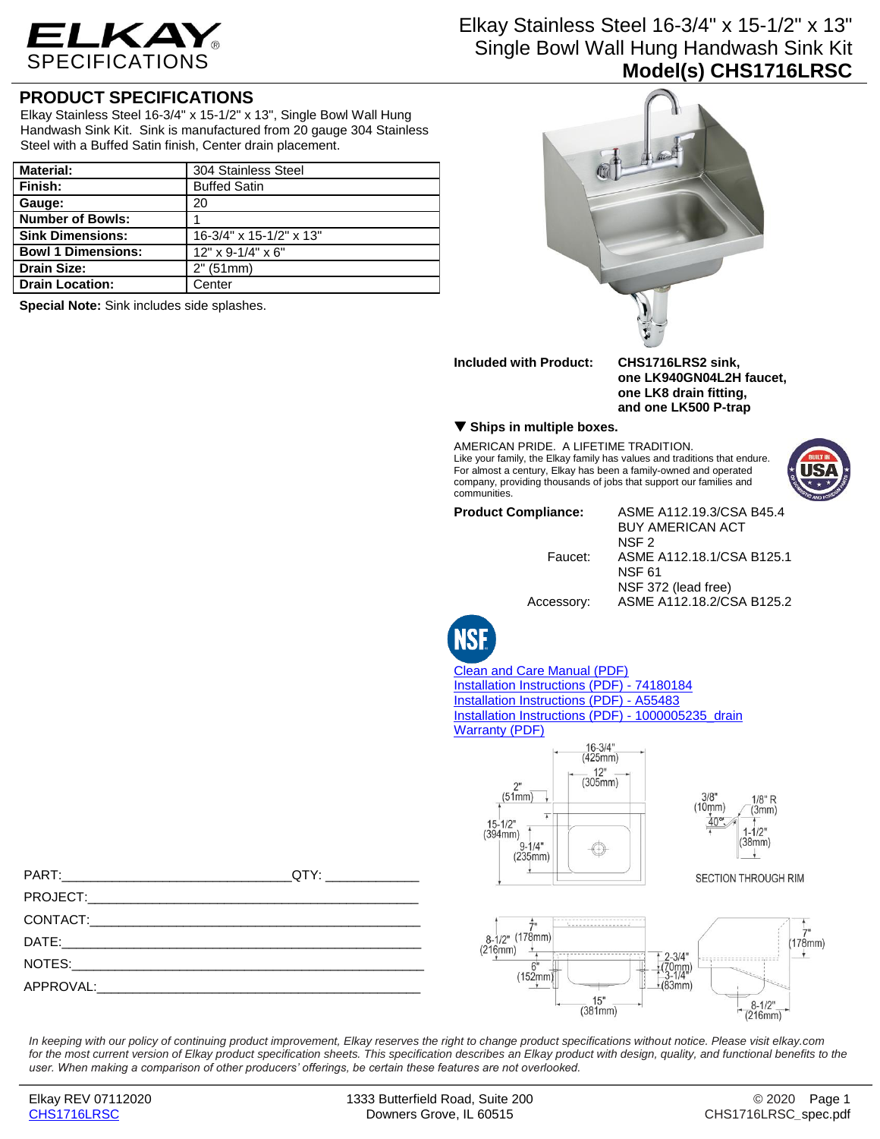

## Elkay Stainless Steel 16-3/4" x 15-1/2" x 13" Single Bowl Wall Hung Handwash Sink Kit **Model(s) CHS1716LRSC**

## **PRODUCT SPECIFICATIONS**

Elkay Stainless Steel 16-3/4" x 15-1/2" x 13", Single Bowl Wall Hung Handwash Sink Kit. Sink is manufactured from 20 gauge 304 Stainless Steel with a Buffed Satin finish, Center drain placement.

| <b>Material:</b>          | 304 Stainless Steel     |
|---------------------------|-------------------------|
| Finish:                   | <b>Buffed Satin</b>     |
| Gauge:                    | 20                      |
| <b>Number of Bowls:</b>   |                         |
| <b>Sink Dimensions:</b>   | 16-3/4" x 15-1/2" x 13" |
| <b>Bowl 1 Dimensions:</b> | $12"$ x 9-1/4" x 6"     |
| <b>Drain Size:</b>        | 2" (51mm)               |
| <b>Drain Location:</b>    | Center                  |

**Special Note:** Sink includes side splashes.



PART:\_\_\_\_\_\_\_\_\_\_\_\_\_\_\_\_\_\_\_\_\_\_\_\_\_\_\_\_\_\_\_\_QTY: \_\_\_\_\_\_\_\_\_\_\_\_\_ PROJECT: CONTACT: DATE:\_\_\_\_\_\_\_\_\_\_\_\_\_\_\_\_\_\_\_\_\_\_\_\_\_\_\_\_\_\_\_\_\_\_\_\_\_\_\_\_\_\_\_\_\_\_\_\_\_\_ NOTES: APPROVAL:

*In keeping with our policy of continuing product improvement, Elkay reserves the right to change product specifications without notice. Please visit elkay.com*  for the most current version of Elkay product specification sheets. This specification describes an Elkay product with design, quality, and functional benefits to the *user. When making a comparison of other producers' offerings, be certain these features are not overlooked.*